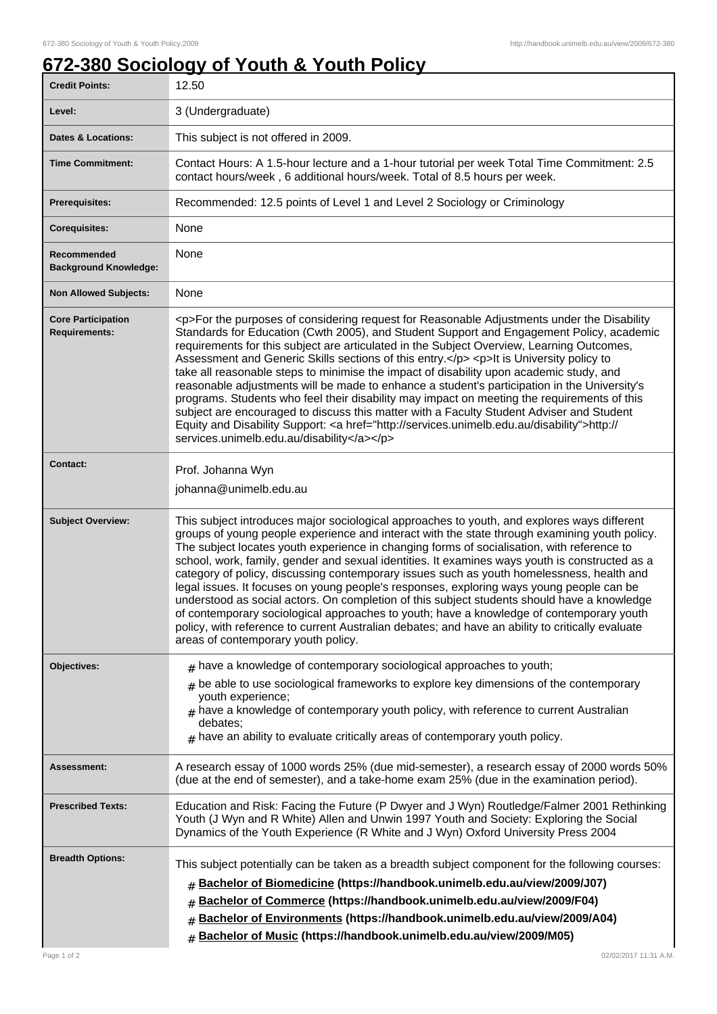## **672-380 Sociology of Youth & Youth Policy**

| <b>Credit Points:</b>                             | 12.50                                                                                                                                                                                                                                                                                                                                                                                                                                                                                                                                                                                                                                                                                                                                                                                                                                                                                                                        |
|---------------------------------------------------|------------------------------------------------------------------------------------------------------------------------------------------------------------------------------------------------------------------------------------------------------------------------------------------------------------------------------------------------------------------------------------------------------------------------------------------------------------------------------------------------------------------------------------------------------------------------------------------------------------------------------------------------------------------------------------------------------------------------------------------------------------------------------------------------------------------------------------------------------------------------------------------------------------------------------|
| Level:                                            | 3 (Undergraduate)                                                                                                                                                                                                                                                                                                                                                                                                                                                                                                                                                                                                                                                                                                                                                                                                                                                                                                            |
| <b>Dates &amp; Locations:</b>                     | This subject is not offered in 2009.                                                                                                                                                                                                                                                                                                                                                                                                                                                                                                                                                                                                                                                                                                                                                                                                                                                                                         |
| <b>Time Commitment:</b>                           | Contact Hours: A 1.5-hour lecture and a 1-hour tutorial per week Total Time Commitment: 2.5<br>contact hours/week, 6 additional hours/week. Total of 8.5 hours per week.                                                                                                                                                                                                                                                                                                                                                                                                                                                                                                                                                                                                                                                                                                                                                     |
| <b>Prerequisites:</b>                             | Recommended: 12.5 points of Level 1 and Level 2 Sociology or Criminology                                                                                                                                                                                                                                                                                                                                                                                                                                                                                                                                                                                                                                                                                                                                                                                                                                                     |
| <b>Corequisites:</b>                              | None                                                                                                                                                                                                                                                                                                                                                                                                                                                                                                                                                                                                                                                                                                                                                                                                                                                                                                                         |
| Recommended<br><b>Background Knowledge:</b>       | None                                                                                                                                                                                                                                                                                                                                                                                                                                                                                                                                                                                                                                                                                                                                                                                                                                                                                                                         |
| <b>Non Allowed Subjects:</b>                      | None                                                                                                                                                                                                                                                                                                                                                                                                                                                                                                                                                                                                                                                                                                                                                                                                                                                                                                                         |
| <b>Core Participation</b><br><b>Requirements:</b> | <p>For the purposes of considering request for Reasonable Adjustments under the Disability<br/>Standards for Education (Cwth 2005), and Student Support and Engagement Policy, academic<br/>requirements for this subject are articulated in the Subject Overview, Learning Outcomes,<br/>Assessment and Generic Skills sections of this entry.</p> <p>lt is University policy to<br/>take all reasonable steps to minimise the impact of disability upon academic study, and<br/>reasonable adjustments will be made to enhance a student's participation in the University's<br/>programs. Students who feel their disability may impact on meeting the requirements of this<br/>subject are encouraged to discuss this matter with a Faculty Student Adviser and Student<br/>Equity and Disability Support: &lt; a href="http://services.unimelb.edu.au/disability"&gt;http://<br/>services.unimelb.edu.au/disability</p> |
| <b>Contact:</b>                                   | Prof. Johanna Wyn<br>johanna@unimelb.edu.au                                                                                                                                                                                                                                                                                                                                                                                                                                                                                                                                                                                                                                                                                                                                                                                                                                                                                  |
| <b>Subject Overview:</b>                          | This subject introduces major sociological approaches to youth, and explores ways different<br>groups of young people experience and interact with the state through examining youth policy.<br>The subject locates youth experience in changing forms of socialisation, with reference to<br>school, work, family, gender and sexual identities. It examines ways youth is constructed as a<br>category of policy, discussing contemporary issues such as youth homelessness, health and<br>legal issues. It focuses on young people's responses, exploring ways young people can be<br>understood as social actors. On completion of this subject students should have a knowledge<br>of contemporary sociological approaches to youth; have a knowledge of contemporary youth<br>policy, with reference to current Australian debates; and have an ability to critically evaluate<br>areas of contemporary youth policy.  |
| <b>Objectives:</b>                                | $#$ have a knowledge of contemporary sociological approaches to youth;<br>be able to use sociological frameworks to explore key dimensions of the contemporary<br>youth experience;<br>$#$ have a knowledge of contemporary youth policy, with reference to current Australian<br>debates:<br>$*$ have an ability to evaluate critically areas of contemporary youth policy.                                                                                                                                                                                                                                                                                                                                                                                                                                                                                                                                                 |
| Assessment:                                       | A research essay of 1000 words 25% (due mid-semester), a research essay of 2000 words 50%<br>(due at the end of semester), and a take-home exam 25% (due in the examination period).                                                                                                                                                                                                                                                                                                                                                                                                                                                                                                                                                                                                                                                                                                                                         |
| <b>Prescribed Texts:</b>                          | Education and Risk: Facing the Future (P Dwyer and J Wyn) Routledge/Falmer 2001 Rethinking<br>Youth (J Wyn and R White) Allen and Unwin 1997 Youth and Society: Exploring the Social<br>Dynamics of the Youth Experience (R White and J Wyn) Oxford University Press 2004                                                                                                                                                                                                                                                                                                                                                                                                                                                                                                                                                                                                                                                    |
| <b>Breadth Options:</b>                           | This subject potentially can be taken as a breadth subject component for the following courses:<br>Bachelor of Biomedicine (https://handbook.unimelb.edu.au/view/2009/J07)<br>#<br>Bachelor of Commerce (https://handbook.unimelb.edu.au/view/2009/F04)<br>#<br>Bachelor of Environments (https://handbook.unimelb.edu.au/view/2009/A04)<br>#<br>Bachelor of Music (https://handbook.unimelb.edu.au/view/2009/M05)                                                                                                                                                                                                                                                                                                                                                                                                                                                                                                           |